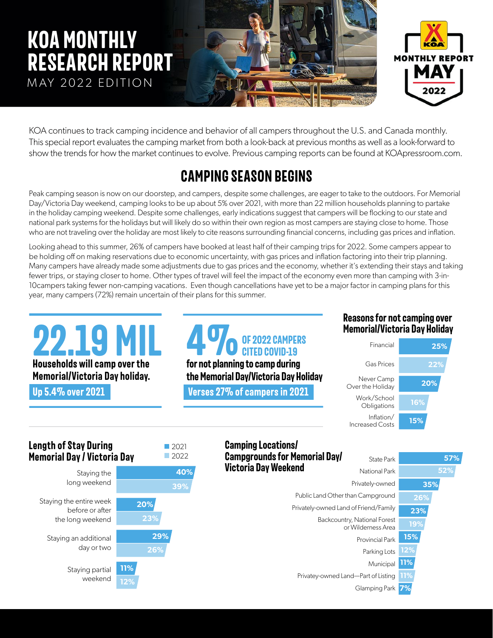# **KOA MONTHLY RESEARCH REPORT** MAY 2022 EDITION





KOA continues to track camping incidence and behavior of all campers throughout the U.S. and Canada monthly. This special report evaluates the camping market from both a look-back at previous months as well as a look-forward to show the trends for how the market continues to evolve. Previous camping reports can be found at [KOApressroom.com.](http://www.KOApressroom.com)

## **CAMPING SEASON BEGINS**

Peak camping season is now on our doorstep, and campers, despite some challenges, are eager to take to the outdoors. For Memorial Day/Victoria Day weekend, camping looks to be up about 5% over 2021, with more than 22 million households planning to partake in the holiday camping weekend. Despite some challenges, early indications suggest that campers will be flocking to our state and national park systems for the holidays but will likely do so within their own region as most campers are staying close to home. Those who are not traveling over the holiday are most likely to cite reasons surrounding financial concerns, including gas prices and inflation.

Looking ahead to this summer, 26% of campers have booked at least half of their camping trips for 2022. Some campers appear to be holding off on making reservations due to economic uncertainty, with gas prices and inflation factoring into their trip planning. Many campers have already made some adjustments due to gas prices and the economy, whether it's extending their stays and taking fewer trips, or staying closer to home. Other types of travel will feel the impact of the economy even more than camping with 3-in-10campers taking fewer non-camping vacations. Even though cancellations have yet to be a major factor in camping plans for this year, many campers (72%) remain uncertain of their plans for this summer.

# **22.19 MIL Households will camp over the**

**Memorial/Victoria Day holiday.** 

**Up 5.4% over 2O21**

**OF 2O22 CAMPERS CITED COVID-19**<br> **ACCITED COVID-19 for not planning to camp during** 

**the Memorial Day/Victoria Day Holiday** 

 **Verses 27% of campers in 2O21**

#### **Reasons for not camping over Memorial/Victoria Day Holiday**



**57%**



#### **Camping Locations/ Campgrounds for Memorial Day/ Victoria Day Weekend**